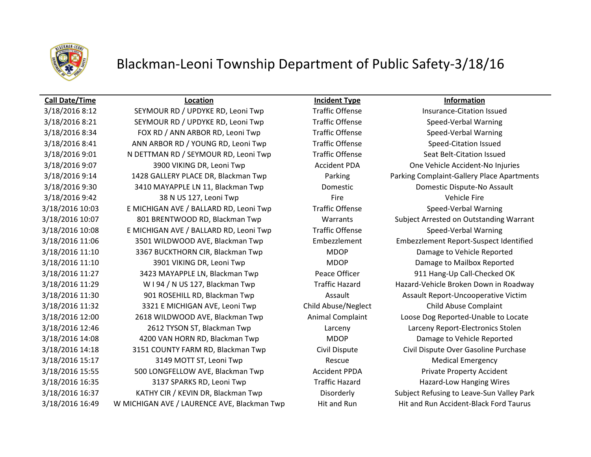

## Blackman-Leoni Township Department of Public Safety-3/18/16

### **Call Date/Time Location Incident Type Information**

3/18/2016 8:12 SEYMOUR RD / UPDYKE RD, Leoni Twp Traffic Offense Insurance-Citation Issued 3/18/2016 8:21 SEYMOUR RD / UPDYKE RD, Leoni Twp Traffic Offense Speed-Verbal Warning 3/18/2016 8:34 FOX RD / ANN ARBOR RD, Leoni Twp Traffic Offense Speed-Verbal Warning 3/18/2016 8:41 ANN ARBOR RD / YOUNG RD, Leoni Twp Traffic Offense Speed-Citation Issued 3/18/2016 9:01 N DETTMAN RD / SEYMOUR RD, Leoni Twp Traffic Offense Seat Belt-Citation Issued 3/18/2016 9:07 3900 VIKING DR, Leoni Twp Accident PDA One Vehicle Accident-No Injuries 3/18/2016 9:14 1428 GALLERY PLACE DR, Blackman Twp Parking Parking Complaint-Gallery Place Apartments 3/18/2016 9:30 3410 MAYAPPLE LN 11, Blackman Twp Domestic Domestic Dispute-No Assault 3/18/2016 9:42 38 38 N US 127, Leoni Twp Fire Fire Fire Vehicle Fire 3/18/2016 10:03 E MICHIGAN AVE / BALLARD RD, Leoni Twp Traffic Offense Speed-Verbal Warning 3/18/2016 10:07 801 BRENTWOOD RD, Blackman Twp Warrants Subject Arrested on Outstanding Warrant 3/18/2016 10:08 E MICHIGAN AVE / BALLARD RD, Leoni Twp Traffic Offense Speed-Verbal Warning 3/18/2016 11:06 3501 WILDWOOD AVE, Blackman Twp Embezzlement Embezzlement Report-Suspect Identified 3/18/2016 11:10 3367 BUCKTHORN CIR, Blackman Twp MDOP Damage to Vehicle Reported 3/18/2016 11:10 3901 VIKING DR, Leoni Twp MDOP MOOP Damage to Mailbox Reported 3/18/2016 11:27 3423 MAYAPPLE LN, Blackman Twp Peace Officer 911 Hang-Up Call-Checked OK 3/18/2016 11:29 W I 94 / N US 127, Blackman Twp Traffic Hazard Hazard Hazard-Vehicle Broken Down in Roadway 3/18/2016 11:30 901 ROSEHILL RD, Blackman Twp Assault Assault Assault Assault Report-Uncooperative Victim 3/18/2016 11:32 3321 E MICHIGAN AVE, Leoni Twp Child Abuse/Neglect Child Abuse Complaint 3/18/2016 12:00 2618 WILDWOOD AVE, Blackman Twp Animal Complaint Loose Dog Reported-Unable to Locate 3/18/2016 12:46 2612 TYSON ST, Blackman Twp Larceny Larceny Report-Electronics Stolen 3/18/2016 14:08 4200 VAN HORN RD, Blackman Twp MDOP Damage to Vehicle Reported 3/18/2016 14:18 3151 COUNTY FARM RD, Blackman Twp Civil Dispute Civil Dispute Over Gasoline Purchase 3/18/2016 15:17 3149 MOTT ST, Leoni Twp Rescue Rescue Medical Emergency 3/18/2016 15:55 500 LONGFELLOW AVE, Blackman Twp **Accident PPDA** Private Property Accident 3/18/2016 16:35 3137 SPARKS RD, Leoni Twp Traffic Hazard Hazard-Low Hanging Wires 3/18/2016 16:37 KATHY CIR / KEVIN DR, Blackman Twp Disorderly Subject Refusing to Leave-Sun Valley Park 3/18/2016 16:49 W MICHIGAN AVE / LAURENCE AVE, Blackman Twp Hit and Run Hit and Run Accident-Black Ford Taurus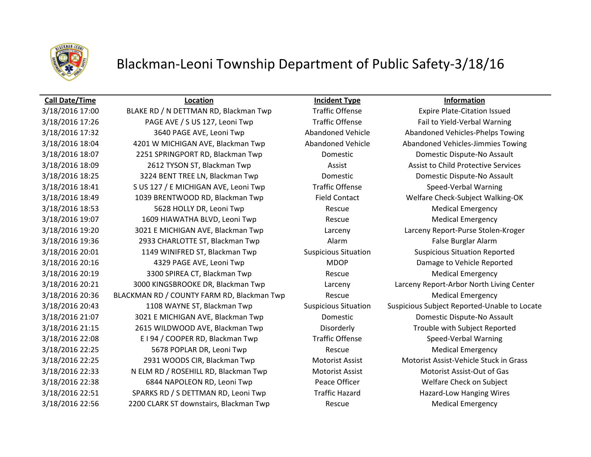

## Blackman-Leoni Township Department of Public Safety-3/18/16

## **Call Date/Time Location Incident Type Information**

3/18/2016 17:00 BLAKE RD / N DETTMAN RD, Blackman Twp Traffic Offense Expire Plate-Citation Issued 3/18/2016 17:26 PAGE AVE / S US 127, Leoni Twp Traffic Offense Fail to Yield-Verbal Warning 3/18/2016 17:32 3640 PAGE AVE, Leoni Twp 3640 Abandoned Vehicle Abandoned Vehicles-Phelps Towing 3/18/2016 18:04 4201 W MICHIGAN AVE, Blackman Twp Abandoned Vehicle Abandoned Vehicles-Jimmies Towing 3/18/2016 18:07 2251 SPRINGPORT RD, Blackman Twp Domestic Domestic Dispute-No Assault 3/18/2016 18:09 2612 TYSON ST, Blackman Twp **Assist Assist Assist to Child Protective Services** 3/18/2016 18:25 3224 BENT TREE LN, Blackman Twp Domestic Domestic Dispute-No Assault 3/18/2016 18:41 S US 127 / E MICHIGAN AVE, Leoni Twp Traffic Offense Speed-Verbal Warning 3/18/2016 18:49 1039 BRENTWOOD RD, Blackman Twp Field Contact Welfare Check-Subject Walking-OK 3/18/2016 18:53 5628 HOLLY DR, Leoni Twp Rescue Rescue Medical Emergency 3/18/2016 19:07 1609 HIAWATHA BLVD, Leoni Twp Rescue Rescue Medical Emergency 3/18/2016 19:20 3021 E MICHIGAN AVE, Blackman Twp Larceny Larceny Report-Purse Stolen-Kroger 3/18/2016 19:36 2933 CHARLOTTE ST, Blackman Twp **Alarm Alarm False Burglar Alarm** False Burglar Alarm 3/18/2016 20:01 1149 WINIFRED ST, Blackman Twp Suspicious Situation Suspicious Situation Reported 3/18/2016 20:16 4329 PAGE AVE, Leoni Twp MDOP Damage to Vehicle Reported 3/18/2016 20:19 3300 SPIREA CT, Blackman Twp **Rescue** Rescue Medical Emergency 3/18/2016 20:21 3000 KINGSBROOKE DR, Blackman Twp Larceny Larceny Report-Arbor North Living Center 3/18/2016 20:36 BLACKMAN RD / COUNTY FARM RD, Blackman Twp Rescue Rescue Medical Emergency 3/18/2016 20:43 1108 WAYNE ST, Blackman Twp Suspicious Situation Suspicious Subject Reported-Unable to Locate 3/18/2016 21:07 3021 E MICHIGAN AVE, Blackman Twp Domestic Domestic Dispute-No Assault 3/18/2016 21:15 2615 WILDWOOD AVE, Blackman Twp Disorderly Trouble with Subject Reported 3/18/2016 22:08 E I 94 / COOPER RD, Blackman Twp Traffic Offense Speed-Verbal Warning 3/18/2016 22:25 5678 POPLAR DR, Leoni Twp Rescue Rescue Rescue Medical Emergency 3/18/2016 22:25 2931 WOODS CIR, Blackman Twp Motorist Assist Motorist Assist-Vehicle Stuck in Grass 3/18/2016 22:33 N ELM RD / ROSEHILL RD, Blackman Twp Motorist Assist Motorist Assist-Out of Gas 3/18/2016 22:38 6844 NAPOLEON RD, Leoni Twp Peace Officer Welfare Check on Subject 3/18/2016 22:51 SPARKS RD / S DETTMAN RD, Leoni Twp Traffic Hazard Hazard Hazard-Low Hanging Wires 3/18/2016 22:56 2200 CLARK ST downstairs, Blackman Twp Rescue Rescue Medical Emergency